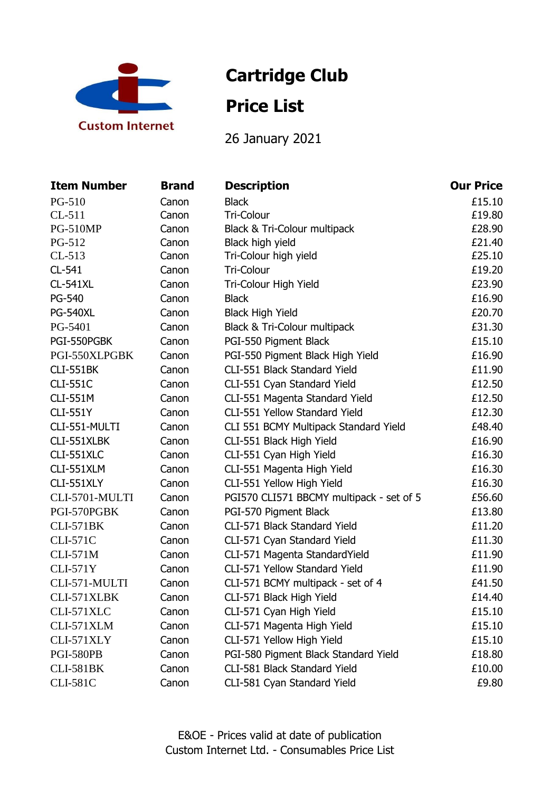

# **Cartridge Club**

## **Price List**

26 January 2021

| <b>Item Number</b> | <b>Brand</b> | <b>Description</b>                       | <b>Our Price</b> |
|--------------------|--------------|------------------------------------------|------------------|
| PG-510             | Canon        | <b>Black</b>                             | £15.10           |
| $CL-511$           | Canon        | Tri-Colour                               | £19.80           |
| <b>PG-510MP</b>    | Canon        | Black & Tri-Colour multipack             | £28.90           |
| PG-512             | Canon        | Black high yield                         | £21.40           |
| $CL-513$           | Canon        | Tri-Colour high yield                    | £25.10           |
| CL-541             | Canon        | Tri-Colour                               | £19.20           |
| <b>CL-541XL</b>    | Canon        | Tri-Colour High Yield                    | £23.90           |
| PG-540             | Canon        | <b>Black</b>                             | £16.90           |
| <b>PG-540XL</b>    | Canon        | <b>Black High Yield</b>                  | £20.70           |
| PG-5401            | Canon        | Black & Tri-Colour multipack             | £31.30           |
| PGI-550PGBK        | Canon        | PGI-550 Pigment Black                    | £15.10           |
| PGI-550XLPGBK      | Canon        | PGI-550 Pigment Black High Yield         | £16.90           |
| <b>CLI-551BK</b>   | Canon        | CLI-551 Black Standard Yield             | £11.90           |
| <b>CLI-551C</b>    | Canon        | CLI-551 Cyan Standard Yield              | £12.50           |
| <b>CLI-551M</b>    | Canon        | CLI-551 Magenta Standard Yield           | £12.50           |
| <b>CLI-551Y</b>    | Canon        | CLI-551 Yellow Standard Yield            | £12.30           |
| CLI-551-MULTI      | Canon        | CLI 551 BCMY Multipack Standard Yield    | £48.40           |
| CLI-551XLBK        | Canon        | CLI-551 Black High Yield                 | £16.90           |
| CLI-551XLC         | Canon        | CLI-551 Cyan High Yield                  | £16.30           |
| CLI-551XLM         | Canon        | CLI-551 Magenta High Yield               | £16.30           |
| CLI-551XLY         | Canon        | CLI-551 Yellow High Yield                | £16.30           |
| CLI-5701-MULTI     | Canon        | PGI570 CLI571 BBCMY multipack - set of 5 | £56.60           |
| PGI-570PGBK        | Canon        | PGI-570 Pigment Black                    | £13.80           |
| <b>CLI-571BK</b>   | Canon        | CLI-571 Black Standard Yield             | £11.20           |
| <b>CLI-571C</b>    | Canon        | CLI-571 Cyan Standard Yield              | £11.30           |
| <b>CLI-571M</b>    | Canon        | CLI-571 Magenta StandardYield            | £11.90           |
| <b>CLI-571Y</b>    | Canon        | CLI-571 Yellow Standard Yield            | £11.90           |
| CLI-571-MULTI      | Canon        | CLI-571 BCMY multipack - set of 4        | £41.50           |
| CLI-571XLBK        | Canon        | CLI-571 Black High Yield                 | £14.40           |
| CLI-571XLC         | Canon        | CLI-571 Cyan High Yield                  | £15.10           |
| CLI-571XLM         | Canon        | CLI-571 Magenta High Yield               | £15.10           |
| CLI-571XLY         | Canon        | CLI-571 Yellow High Yield                | £15.10           |
| <b>PGI-580PB</b>   | Canon        | PGI-580 Pigment Black Standard Yield     | £18.80           |
| <b>CLI-581BK</b>   | Canon        | CLI-581 Black Standard Yield             | £10.00           |
| <b>CLI-581C</b>    | Canon        | CLI-581 Cyan Standard Yield              | £9.80            |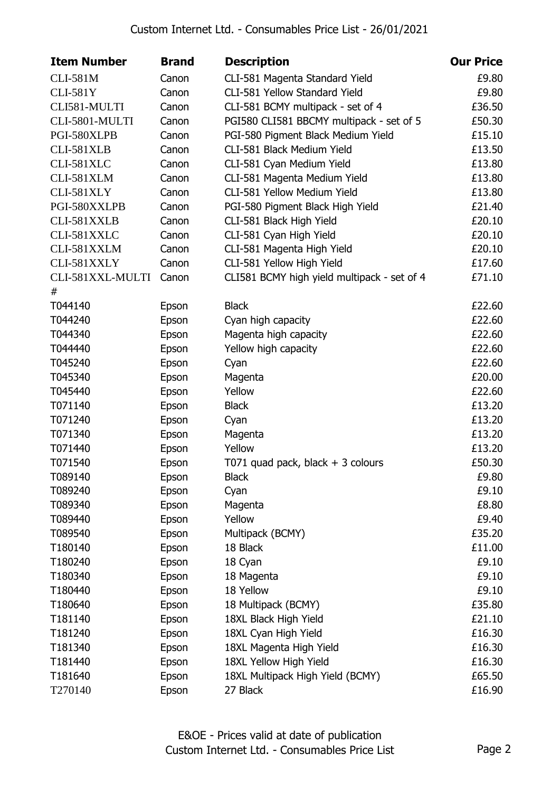| <b>Item Number</b> | <b>Brand</b> | <b>Description</b>                          | <b>Our Price</b> |
|--------------------|--------------|---------------------------------------------|------------------|
| <b>CLI-581M</b>    | Canon        | CLI-581 Magenta Standard Yield              | £9.80            |
| <b>CLI-581Y</b>    | Canon        | CLI-581 Yellow Standard Yield               | £9.80            |
| CLI581-MULTI       | Canon        | CLI-581 BCMY multipack - set of 4           | £36.50           |
| CLI-5801-MULTI     | Canon        | PGI580 CLI581 BBCMY multipack - set of 5    | £50.30           |
| PGI-580XLPB        | Canon        | PGI-580 Pigment Black Medium Yield          | £15.10           |
| CLI-581XLB         | Canon        | CLI-581 Black Medium Yield                  | £13.50           |
| CLI-581XLC         | Canon        | CLI-581 Cyan Medium Yield                   | £13.80           |
| CLI-581XLM         | Canon        | CLI-581 Magenta Medium Yield                | £13.80           |
| CLI-581XLY         | Canon        | CLI-581 Yellow Medium Yield                 | £13.80           |
| PGI-580XXLPB       | Canon        | PGI-580 Pigment Black High Yield            | £21.40           |
| CLI-581XXLB        | Canon        | CLI-581 Black High Yield                    | £20.10           |
| CLI-581XXLC        | Canon        | CLI-581 Cyan High Yield                     | £20.10           |
| CLI-581XXLM        | Canon        | CLI-581 Magenta High Yield                  | £20.10           |
| CLI-581XXLY        | Canon        | CLI-581 Yellow High Yield                   | £17.60           |
| CLI-581XXL-MULTI   | Canon        | CLI581 BCMY high yield multipack - set of 4 | £71.10           |
| #                  |              |                                             |                  |
| T044140            | Epson        | <b>Black</b>                                | £22.60           |
| T044240            | Epson        | Cyan high capacity                          | £22.60           |
| T044340            | Epson        | Magenta high capacity                       | £22.60           |
| T044440            | Epson        | Yellow high capacity                        | £22.60           |
| T045240            | Epson        | Cyan                                        | £22.60           |
| T045340            | Epson        | Magenta                                     | £20.00           |
| T045440            | Epson        | Yellow                                      | £22.60           |
| T071140            | Epson        | <b>Black</b>                                | £13.20           |
| T071240            | Epson        | Cyan                                        | £13.20           |
| T071340            | Epson        | Magenta                                     | £13.20           |
| T071440            | Epson        | Yellow                                      | £13.20           |
| T071540            | Epson        | T071 quad pack, black $+$ 3 colours         | £50.30           |
| T089140            | Epson        | <b>Black</b>                                | £9.80            |
| T089240            | Epson        | Cyan                                        | £9.10            |
| T089340            | Epson        | Magenta                                     | £8.80            |
| T089440            | Epson        | Yellow                                      | £9.40            |
| T089540            | Epson        | Multipack (BCMY)                            | £35.20           |
| T180140            | Epson        | 18 Black                                    | £11.00           |
| T180240            | Epson        | 18 Cyan                                     | £9.10            |
| T180340            | Epson        | 18 Magenta                                  | £9.10            |
| T180440            | Epson        | 18 Yellow                                   | £9.10            |
| T180640            | Epson        | 18 Multipack (BCMY)                         | £35.80           |
| T181140            | Epson        | 18XL Black High Yield                       | £21.10           |
| T181240            | Epson        | 18XL Cyan High Yield                        | £16.30           |
| T181340            | Epson        | 18XL Magenta High Yield                     | £16.30           |
| T181440            | Epson        | 18XL Yellow High Yield                      | £16.30           |
| T181640            | Epson        | 18XL Multipack High Yield (BCMY)            | £65.50           |
| T270140            | Epson        | 27 Black                                    | £16.90           |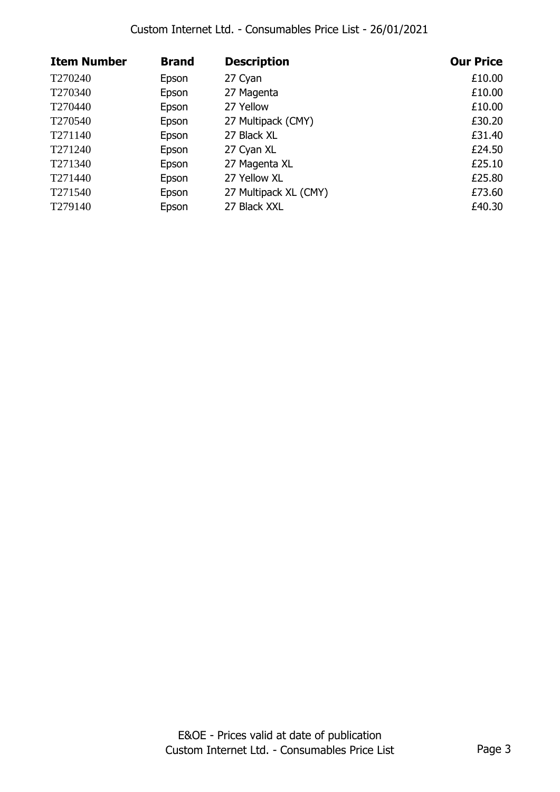| <b>Item Number</b>  | <b>Brand</b> | <b>Description</b>    | <b>Our Price</b> |
|---------------------|--------------|-----------------------|------------------|
| T270240             | Epson        | 27 Cyan               | £10.00           |
| T <sub>270340</sub> | Epson        | 27 Magenta            | £10.00           |
| T <sub>270440</sub> | Epson        | 27 Yellow             | £10.00           |
| T270540             | Epson        | 27 Multipack (CMY)    | £30.20           |
| T271140             | Epson        | 27 Black XL           | £31.40           |
| T271240             | Epson        | 27 Cyan XL            | £24.50           |
| T271340             | Epson        | 27 Magenta XL         | £25.10           |
| T271440             | Epson        | 27 Yellow XL          | £25.80           |
| T271540             | Epson        | 27 Multipack XL (CMY) | £73.60           |
| T279140             | Epson        | 27 Black XXL          | £40.30           |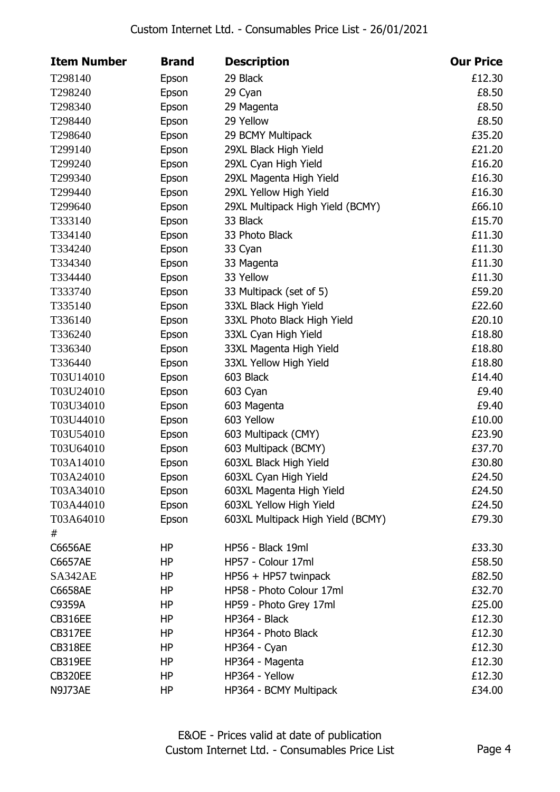| <b>Item Number</b> | <b>Brand</b> | <b>Description</b>                | <b>Our Price</b> |
|--------------------|--------------|-----------------------------------|------------------|
| T298140            | Epson        | 29 Black                          | £12.30           |
| T298240            | Epson        | 29 Cyan                           | £8.50            |
| T298340            | Epson        | 29 Magenta                        | £8.50            |
| T298440            | Epson        | 29 Yellow                         | £8.50            |
| T298640            | Epson        | 29 BCMY Multipack                 | £35.20           |
| T299140            | Epson        | 29XL Black High Yield             | £21.20           |
| T299240            | Epson        | 29XL Cyan High Yield              | £16.20           |
| T299340            | Epson        | 29XL Magenta High Yield           | £16.30           |
| T299440            | Epson        | 29XL Yellow High Yield            | £16.30           |
| T299640            | Epson        | 29XL Multipack High Yield (BCMY)  | £66.10           |
| T333140            | Epson        | 33 Black                          | £15.70           |
| T334140            | Epson        | 33 Photo Black                    | £11.30           |
| T334240            | Epson        | 33 Cyan                           | £11.30           |
| T334340            | Epson        | 33 Magenta                        | £11.30           |
| T334440            | Epson        | 33 Yellow                         | £11.30           |
| T333740            | Epson        | 33 Multipack (set of 5)           | £59.20           |
| T335140            | Epson        | 33XL Black High Yield             | £22.60           |
| T336140            | Epson        | 33XL Photo Black High Yield       | £20.10           |
| T336240            | Epson        | 33XL Cyan High Yield              | £18.80           |
| T336340            | Epson        | 33XL Magenta High Yield           | £18.80           |
| T336440            | Epson        | 33XL Yellow High Yield            | £18.80           |
| T03U14010          | Epson        | 603 Black                         | £14.40           |
| T03U24010          | Epson        | 603 Cyan                          | £9.40            |
| T03U34010          | Epson        | 603 Magenta                       | £9.40            |
| T03U44010          | Epson        | 603 Yellow                        | £10.00           |
| T03U54010          | Epson        | 603 Multipack (CMY)               | £23.90           |
| T03U64010          | Epson        | 603 Multipack (BCMY)              | £37.70           |
| T03A14010          | Epson        | 603XL Black High Yield            | £30.80           |
| T03A24010          | Epson        | 603XL Cyan High Yield             | £24.50           |
| T03A34010          | Epson        | 603XL Magenta High Yield          | £24.50           |
| T03A44010          | Epson        | 603XL Yellow High Yield           | £24.50           |
| T03A64010          | Epson        | 603XL Multipack High Yield (BCMY) | £79.30           |
| #                  |              |                                   |                  |
| C6656AE            | ΗP           | HP56 - Black 19ml                 | £33.30           |
| C6657AE            | HP           | HP57 - Colour 17ml                | £58.50           |
| SA342AE            | HP           | HP56 + HP57 twinpack              | £82.50           |
| C6658AE            | ΗP           | HP58 - Photo Colour 17ml          | £32.70           |
| C9359A             | ΗP           | HP59 - Photo Grey 17ml            | £25.00           |
| <b>CB316EE</b>     | HP           | HP364 - Black                     | £12.30           |
| CB317EE            | HP           | HP364 - Photo Black               | £12.30           |
| <b>CB318EE</b>     | ΗP           | HP364 - Cyan                      | £12.30           |
| CB319EE            | ΗP           | HP364 - Magenta                   | £12.30           |
| <b>CB320EE</b>     | HP           | HP364 - Yellow                    | £12.30           |
| N9J73AE            | HP           | HP364 - BCMY Multipack            | £34.00           |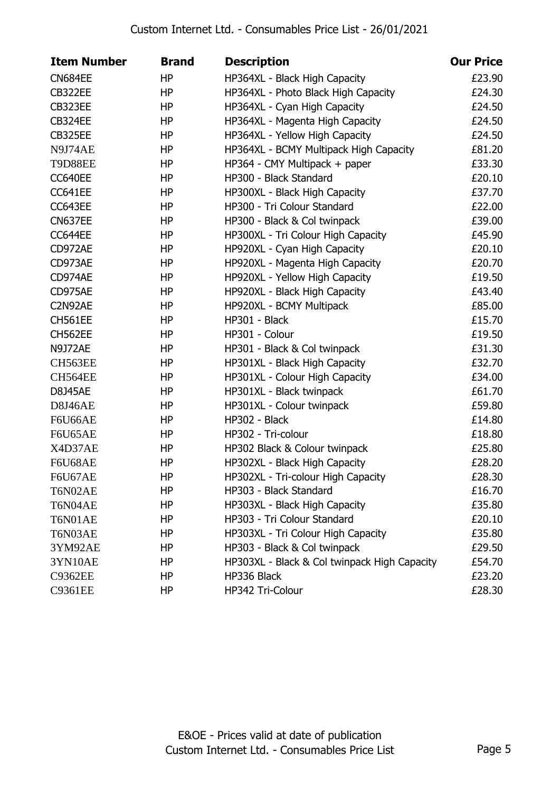| <b>Item Number</b> | <b>Brand</b> | <b>Description</b>                           | <b>Our Price</b> |
|--------------------|--------------|----------------------------------------------|------------------|
| <b>CN684EE</b>     | HP           | HP364XL - Black High Capacity                | £23.90           |
| CB322EE            | HP           | HP364XL - Photo Black High Capacity          | £24.30           |
| <b>CB323EE</b>     | HP           | HP364XL - Cyan High Capacity                 | £24.50           |
| <b>CB324EE</b>     | HP           | HP364XL - Magenta High Capacity              | £24.50           |
| <b>CB325EE</b>     | HP           | HP364XL - Yellow High Capacity               | £24.50           |
| N9J74AE            | HP           | HP364XL - BCMY Multipack High Capacity       | £81.20           |
| <b>T9D88EE</b>     | <b>HP</b>    | HP364 - CMY Multipack + paper                | £33.30           |
| CC640EE            | <b>HP</b>    | HP300 - Black Standard                       | £20.10           |
| CC641EE            | HP           | HP300XL - Black High Capacity                | £37.70           |
| CC643EE            | HP           | HP300 - Tri Colour Standard                  | £22.00           |
| <b>CN637EE</b>     | HP           | HP300 - Black & Col twinpack                 | £39.00           |
| CC644EE            | HP           | HP300XL - Tri Colour High Capacity           | £45.90           |
| CD972AE            | HP           | HP920XL - Cyan High Capacity                 | £20.10           |
| CD973AE            | HP           | HP920XL - Magenta High Capacity              | £20.70           |
| CD974AE            | HP           | HP920XL - Yellow High Capacity               | £19.50           |
| CD975AE            | HP           | HP920XL - Black High Capacity                | £43.40           |
| C2N92AE            | HP           | HP920XL - BCMY Multipack                     | £85.00           |
| <b>CH561EE</b>     | HP           | HP301 - Black                                | £15.70           |
| CH562EE            | HP           | HP301 - Colour                               | £19.50           |
| <b>N9J72AE</b>     | HP           | HP301 - Black & Col twinpack                 | £31.30           |
| CH563EE            | HP           | HP301XL - Black High Capacity                | £32.70           |
| CH564EE            | HP           | HP301XL - Colour High Capacity               | £34.00           |
| <b>D8J45AE</b>     | HP           | HP301XL - Black twinpack                     | £61.70           |
| D8J46AE            | HP           | HP301XL - Colour twinpack                    | £59.80           |
| <b>F6U66AE</b>     | <b>HP</b>    | HP302 - Black                                | £14.80           |
| <b>F6U65AE</b>     | HP           | HP302 - Tri-colour                           | £18.80           |
| X4D37AE            | <b>HP</b>    | HP302 Black & Colour twinpack                | £25.80           |
| <b>F6U68AE</b>     | <b>HP</b>    | HP302XL - Black High Capacity                | £28.20           |
| <b>F6U67AE</b>     | ΗP           | HP302XL - Tri-colour High Capacity           | £28.30           |
| T6N02AE            | HP           | HP303 - Black Standard                       | £16.70           |
| T6N04AE            | HP           | HP303XL - Black High Capacity                | £35.80           |
| T6N01AE            | HP           | HP303 - Tri Colour Standard                  | £20.10           |
| T6N03AE            | HP           | HP303XL - Tri Colour High Capacity           | £35.80           |
| 3YM92AE            | HP           | HP303 - Black & Col twinpack                 | £29.50           |
| 3YN10AE            | HP           | HP303XL - Black & Col twinpack High Capacity | £54.70           |
| <b>C9362EE</b>     | HP           | HP336 Black                                  | £23.20           |
| C9361EE            | HP           | HP342 Tri-Colour                             | £28.30           |